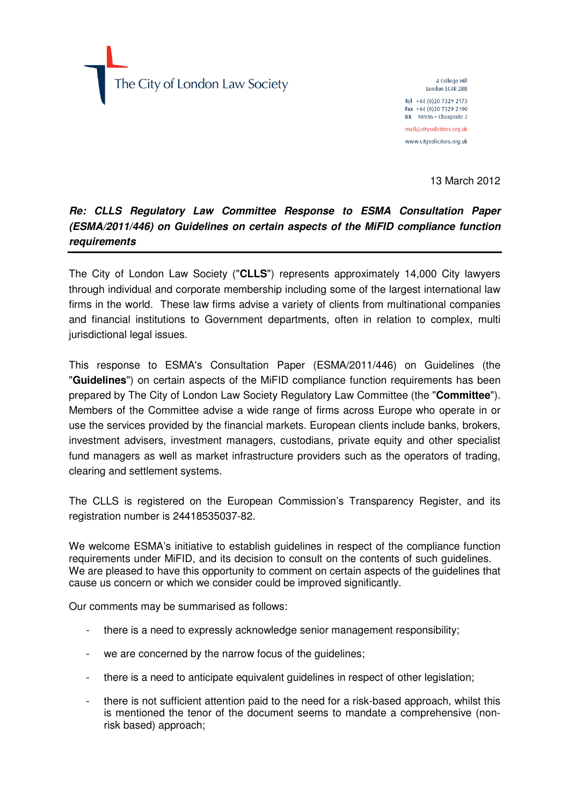The City of London Law Society

4 College Hill London EC4R 2RB Tel +44 (0) 20 7329 2173 Fax +44 (0) 20 7329 2190 DX 98936 - Cheapside 2 mail@citysolicitors.org.uk www.citysolicitors.org.uk

13 March 2012

# **Re: CLLS Regulatory Law Committee Response to ESMA Consultation Paper (ESMA/2011/446) on Guidelines on certain aspects of the MiFID compliance function requirements**

The City of London Law Society ("**CLLS**") represents approximately 14,000 City lawyers through individual and corporate membership including some of the largest international law firms in the world. These law firms advise a variety of clients from multinational companies and financial institutions to Government departments, often in relation to complex, multi jurisdictional legal issues.

This response to ESMA's Consultation Paper (ESMA/2011/446) on Guidelines (the "**Guidelines**") on certain aspects of the MiFID compliance function requirements has been prepared by The City of London Law Society Regulatory Law Committee (the "**Committee**"). Members of the Committee advise a wide range of firms across Europe who operate in or use the services provided by the financial markets. European clients include banks, brokers, investment advisers, investment managers, custodians, private equity and other specialist fund managers as well as market infrastructure providers such as the operators of trading, clearing and settlement systems.

The CLLS is registered on the European Commission's Transparency Register, and its registration number is 24418535037-82.

We welcome ESMA's initiative to establish guidelines in respect of the compliance function requirements under MiFID, and its decision to consult on the contents of such guidelines. We are pleased to have this opportunity to comment on certain aspects of the guidelines that cause us concern or which we consider could be improved significantly.

Our comments may be summarised as follows:

- there is a need to expressly acknowledge senior management responsibility;
- we are concerned by the narrow focus of the guidelines;
- there is a need to anticipate equivalent quidelines in respect of other legislation;
- there is not sufficient attention paid to the need for a risk-based approach, whilst this is mentioned the tenor of the document seems to mandate a comprehensive (nonrisk based) approach;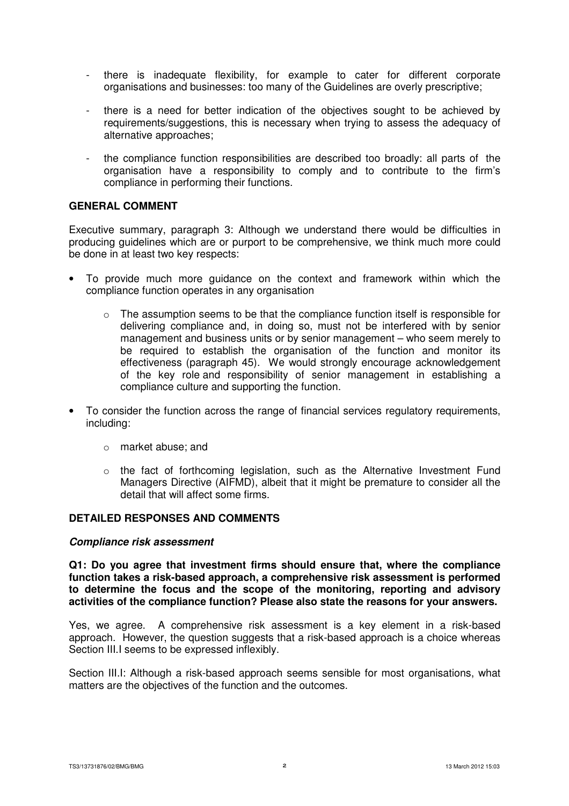- there is inadequate flexibility, for example to cater for different corporate organisations and businesses: too many of the Guidelines are overly prescriptive;
- there is a need for better indication of the objectives sought to be achieved by requirements/suggestions, this is necessary when trying to assess the adequacy of alternative approaches;
- the compliance function responsibilities are described too broadly: all parts of the organisation have a responsibility to comply and to contribute to the firm's compliance in performing their functions.

# **GENERAL COMMENT**

Executive summary, paragraph 3: Although we understand there would be difficulties in producing guidelines which are or purport to be comprehensive, we think much more could be done in at least two key respects:

- To provide much more guidance on the context and framework within which the compliance function operates in any organisation
	- $\circ$  The assumption seems to be that the compliance function itself is responsible for delivering compliance and, in doing so, must not be interfered with by senior management and business units or by senior management – who seem merely to be required to establish the organisation of the function and monitor its effectiveness (paragraph 45). We would strongly encourage acknowledgement of the key role and responsibility of senior management in establishing a compliance culture and supporting the function.
- To consider the function across the range of financial services regulatory requirements, including:
	- o market abuse; and
	- $\circ$  the fact of forthcoming legislation, such as the Alternative Investment Fund Managers Directive (AIFMD), albeit that it might be premature to consider all the detail that will affect some firms.

#### **DETAILED RESPONSES AND COMMENTS**

#### **Compliance risk assessment**

**Q1: Do you agree that investment firms should ensure that, where the compliance function takes a risk-based approach, a comprehensive risk assessment is performed to determine the focus and the scope of the monitoring, reporting and advisory activities of the compliance function? Please also state the reasons for your answers.**

Yes, we agree. A comprehensive risk assessment is a key element in a risk-based approach. However, the question suggests that a risk-based approach is a choice whereas Section III.I seems to be expressed inflexibly.

Section III.I: Although a risk-based approach seems sensible for most organisations, what matters are the objectives of the function and the outcomes.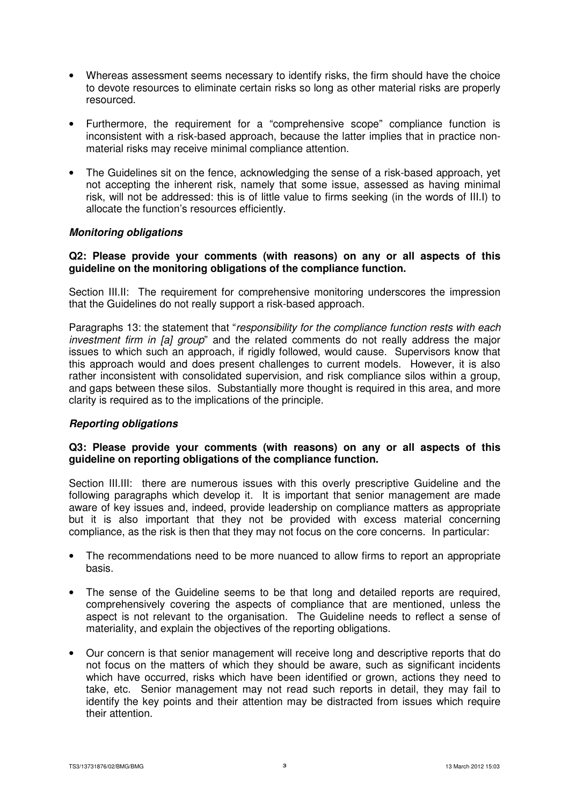- Whereas assessment seems necessary to identify risks, the firm should have the choice to devote resources to eliminate certain risks so long as other material risks are properly resourced.
- Furthermore, the requirement for a "comprehensive scope" compliance function is inconsistent with a risk-based approach, because the latter implies that in practice nonmaterial risks may receive minimal compliance attention.
- The Guidelines sit on the fence, acknowledging the sense of a risk-based approach, yet not accepting the inherent risk, namely that some issue, assessed as having minimal risk, will not be addressed: this is of little value to firms seeking (in the words of III.I) to allocate the function's resources efficiently.

# **Monitoring obligations**

# **Q2: Please provide your comments (with reasons) on any or all aspects of this guideline on the monitoring obligations of the compliance function.**

Section III.II: The requirement for comprehensive monitoring underscores the impression that the Guidelines do not really support a risk-based approach.

Paragraphs 13: the statement that "responsibility for the compliance function rests with each investment firm in [a] group" and the related comments do not really address the major issues to which such an approach, if rigidly followed, would cause. Supervisors know that this approach would and does present challenges to current models. However, it is also rather inconsistent with consolidated supervision, and risk compliance silos within a group, and gaps between these silos. Substantially more thought is required in this area, and more clarity is required as to the implications of the principle.

# **Reporting obligations**

# **Q3: Please provide your comments (with reasons) on any or all aspects of this guideline on reporting obligations of the compliance function.**

Section III.III: there are numerous issues with this overly prescriptive Guideline and the following paragraphs which develop it. It is important that senior management are made aware of key issues and, indeed, provide leadership on compliance matters as appropriate but it is also important that they not be provided with excess material concerning compliance, as the risk is then that they may not focus on the core concerns. In particular:

- The recommendations need to be more nuanced to allow firms to report an appropriate basis.
- The sense of the Guideline seems to be that long and detailed reports are required. comprehensively covering the aspects of compliance that are mentioned, unless the aspect is not relevant to the organisation. The Guideline needs to reflect a sense of materiality, and explain the objectives of the reporting obligations.
- Our concern is that senior management will receive long and descriptive reports that do not focus on the matters of which they should be aware, such as significant incidents which have occurred, risks which have been identified or grown, actions they need to take, etc. Senior management may not read such reports in detail, they may fail to identify the key points and their attention may be distracted from issues which require their attention.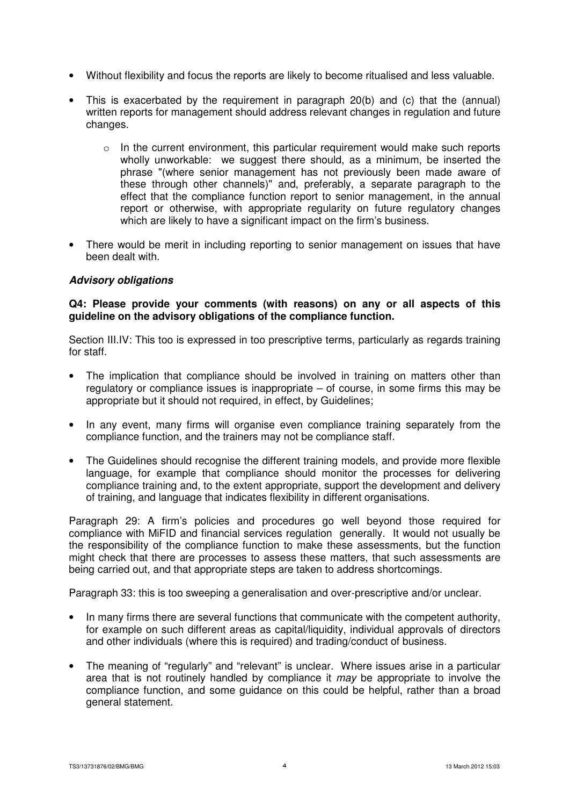- Without flexibility and focus the reports are likely to become ritualised and less valuable.
- This is exacerbated by the requirement in paragraph 20(b) and (c) that the (annual) written reports for management should address relevant changes in regulation and future changes.
	- $\circ$  In the current environment, this particular requirement would make such reports wholly unworkable: we suggest there should, as a minimum, be inserted the phrase "(where senior management has not previously been made aware of these through other channels)" and, preferably, a separate paragraph to the effect that the compliance function report to senior management, in the annual report or otherwise, with appropriate regularity on future regulatory changes which are likely to have a significant impact on the firm's business.
- There would be merit in including reporting to senior management on issues that have been dealt with.

# **Advisory obligations**

# **Q4: Please provide your comments (with reasons) on any or all aspects of this guideline on the advisory obligations of the compliance function.**

Section III.IV: This too is expressed in too prescriptive terms, particularly as regards training for staff.

- The implication that compliance should be involved in training on matters other than regulatory or compliance issues is inappropriate – of course, in some firms this may be appropriate but it should not required, in effect, by Guidelines;
- In any event, many firms will organise even compliance training separately from the compliance function, and the trainers may not be compliance staff.
- The Guidelines should recognise the different training models, and provide more flexible language, for example that compliance should monitor the processes for delivering compliance training and, to the extent appropriate, support the development and delivery of training, and language that indicates flexibility in different organisations.

Paragraph 29: A firm's policies and procedures go well beyond those required for compliance with MiFID and financial services regulation generally. It would not usually be the responsibility of the compliance function to make these assessments, but the function might check that there are processes to assess these matters, that such assessments are being carried out, and that appropriate steps are taken to address shortcomings.

Paragraph 33: this is too sweeping a generalisation and over-prescriptive and/or unclear.

- In many firms there are several functions that communicate with the competent authority, for example on such different areas as capital/liquidity, individual approvals of directors and other individuals (where this is required) and trading/conduct of business.
- The meaning of "regularly" and "relevant" is unclear. Where issues arise in a particular area that is not routinely handled by compliance it may be appropriate to involve the compliance function, and some guidance on this could be helpful, rather than a broad general statement.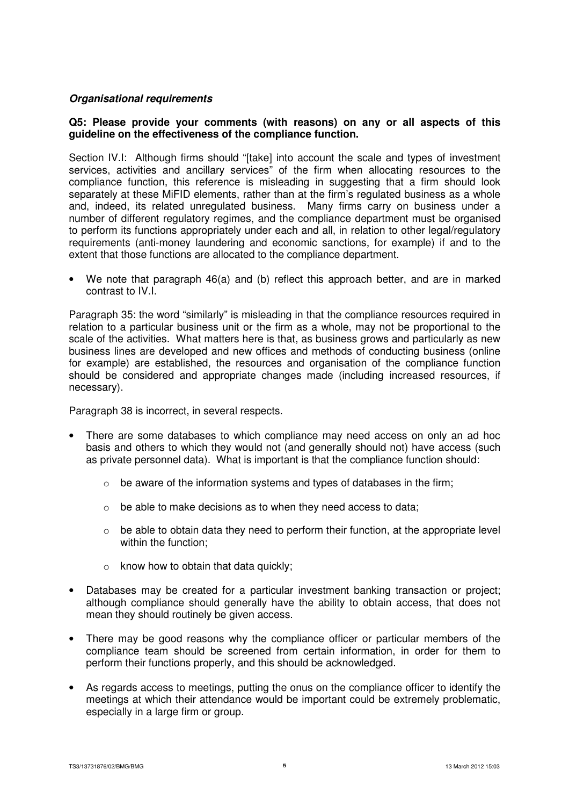# **Organisational requirements**

# **Q5: Please provide your comments (with reasons) on any or all aspects of this guideline on the effectiveness of the compliance function.**

Section IV.I: Although firms should "[take] into account the scale and types of investment services, activities and ancillary services" of the firm when allocating resources to the compliance function, this reference is misleading in suggesting that a firm should look separately at these MiFID elements, rather than at the firm's regulated business as a whole and, indeed, its related unregulated business. Many firms carry on business under a number of different regulatory regimes, and the compliance department must be organised to perform its functions appropriately under each and all, in relation to other legal/regulatory requirements (anti-money laundering and economic sanctions, for example) if and to the extent that those functions are allocated to the compliance department.

• We note that paragraph 46(a) and (b) reflect this approach better, and are in marked contrast to IV.I.

Paragraph 35: the word "similarly" is misleading in that the compliance resources required in relation to a particular business unit or the firm as a whole, may not be proportional to the scale of the activities. What matters here is that, as business grows and particularly as new business lines are developed and new offices and methods of conducting business (online for example) are established, the resources and organisation of the compliance function should be considered and appropriate changes made (including increased resources, if necessary).

Paragraph 38 is incorrect, in several respects.

- There are some databases to which compliance may need access on only an ad hoc basis and others to which they would not (and generally should not) have access (such as private personnel data). What is important is that the compliance function should:
	- $\circ$  be aware of the information systems and types of databases in the firm:
	- o be able to make decisions as to when they need access to data;
	- $\circ$  be able to obtain data they need to perform their function, at the appropriate level within the function:
	- $\circ$  know how to obtain that data quickly;
- Databases may be created for a particular investment banking transaction or project; although compliance should generally have the ability to obtain access, that does not mean they should routinely be given access.
- There may be good reasons why the compliance officer or particular members of the compliance team should be screened from certain information, in order for them to perform their functions properly, and this should be acknowledged.
- As regards access to meetings, putting the onus on the compliance officer to identify the meetings at which their attendance would be important could be extremely problematic, especially in a large firm or group.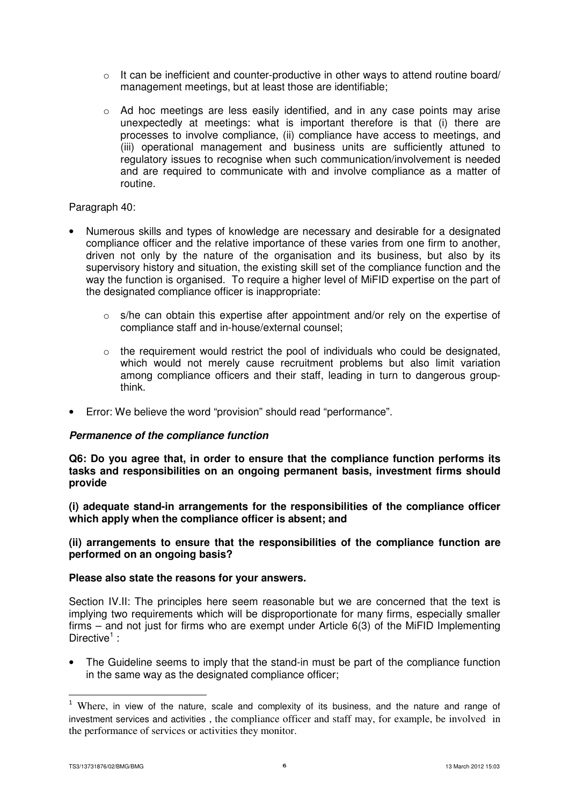- o It can be inefficient and counter-productive in other ways to attend routine board/ management meetings, but at least those are identifiable;
- $\circ$  Ad hoc meetings are less easily identified, and in any case points may arise unexpectedly at meetings: what is important therefore is that (i) there are processes to involve compliance, (ii) compliance have access to meetings, and (iii) operational management and business units are sufficiently attuned to regulatory issues to recognise when such communication/involvement is needed and are required to communicate with and involve compliance as a matter of routine.

# Paragraph 40:

- Numerous skills and types of knowledge are necessary and desirable for a designated compliance officer and the relative importance of these varies from one firm to another, driven not only by the nature of the organisation and its business, but also by its supervisory history and situation, the existing skill set of the compliance function and the way the function is organised. To require a higher level of MiFID expertise on the part of the designated compliance officer is inappropriate:
	- $\circ$  s/he can obtain this expertise after appointment and/or rely on the expertise of compliance staff and in-house/external counsel;
	- $\circ$  the requirement would restrict the pool of individuals who could be designated. which would not merely cause recruitment problems but also limit variation among compliance officers and their staff, leading in turn to dangerous groupthink.
- Error: We believe the word "provision" should read "performance".

#### **Permanence of the compliance function**

**Q6: Do you agree that, in order to ensure that the compliance function performs its tasks and responsibilities on an ongoing permanent basis, investment firms should provide** 

**(i) adequate stand-in arrangements for the responsibilities of the compliance officer which apply when the compliance officer is absent; and** 

# **(ii) arrangements to ensure that the responsibilities of the compliance function are performed on an ongoing basis?**

#### **Please also state the reasons for your answers.**

Section IV.II: The principles here seem reasonable but we are concerned that the text is implying two requirements which will be disproportionate for many firms, especially smaller firms – and not just for firms who are exempt under Article 6(3) of the MiFID Implementing Directive<sup>1</sup>:

• The Guideline seems to imply that the stand-in must be part of the compliance function in the same way as the designated compliance officer;

 $\overline{a}$ 

 $1$  Where, in view of the nature, scale and complexity of its business, and the nature and range of investment services and activities , the compliance officer and staff may, for example, be involved in the performance of services or activities they monitor.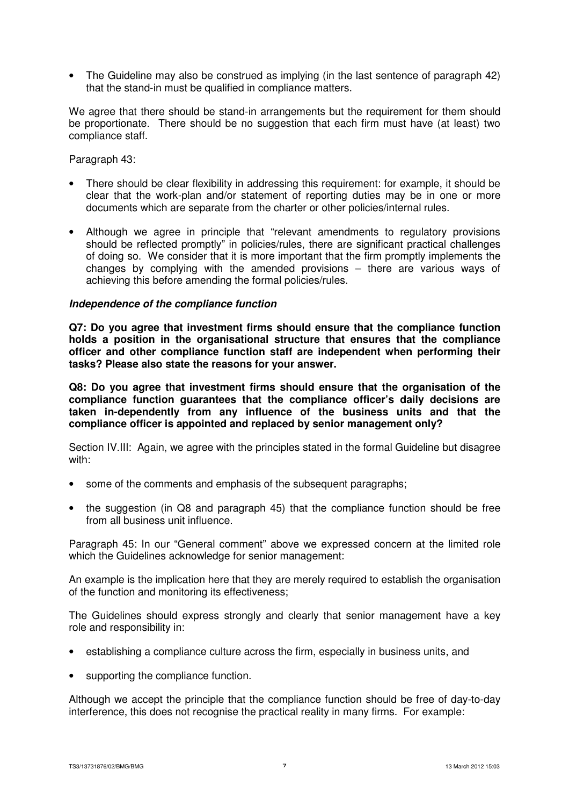• The Guideline may also be construed as implying (in the last sentence of paragraph 42) that the stand-in must be qualified in compliance matters.

We agree that there should be stand-in arrangements but the requirement for them should be proportionate. There should be no suggestion that each firm must have (at least) two compliance staff.

Paragraph 43:

- There should be clear flexibility in addressing this requirement: for example, it should be clear that the work-plan and/or statement of reporting duties may be in one or more documents which are separate from the charter or other policies/internal rules.
- Although we agree in principle that "relevant amendments to regulatory provisions should be reflected promptly" in policies/rules, there are significant practical challenges of doing so. We consider that it is more important that the firm promptly implements the changes by complying with the amended provisions – there are various ways of achieving this before amending the formal policies/rules.

# **Independence of the compliance function**

**Q7: Do you agree that investment firms should ensure that the compliance function holds a position in the organisational structure that ensures that the compliance officer and other compliance function staff are independent when performing their tasks? Please also state the reasons for your answer.** 

**Q8: Do you agree that investment firms should ensure that the organisation of the compliance function guarantees that the compliance officer's daily decisions are taken in-dependently from any influence of the business units and that the compliance officer is appointed and replaced by senior management only?** 

Section IV.III: Again, we agree with the principles stated in the formal Guideline but disagree with:

- some of the comments and emphasis of the subsequent paragraphs;
- the suggestion (in Q8 and paragraph 45) that the compliance function should be free from all business unit influence.

Paragraph 45: In our "General comment" above we expressed concern at the limited role which the Guidelines acknowledge for senior management:

An example is the implication here that they are merely required to establish the organisation of the function and monitoring its effectiveness;

The Guidelines should express strongly and clearly that senior management have a key role and responsibility in:

- establishing a compliance culture across the firm, especially in business units, and
- supporting the compliance function.

Although we accept the principle that the compliance function should be free of day-to-day interference, this does not recognise the practical reality in many firms. For example: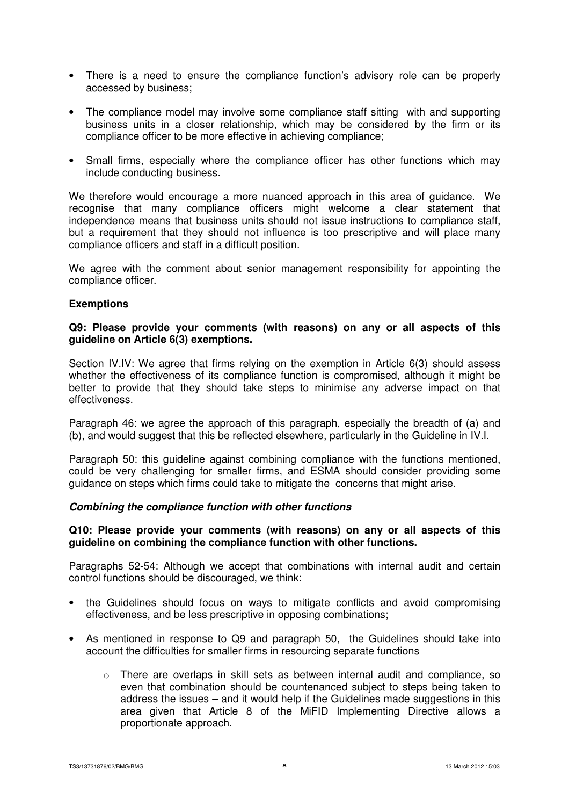- There is a need to ensure the compliance function's advisory role can be properly accessed by business;
- The compliance model may involve some compliance staff sitting with and supporting business units in a closer relationship, which may be considered by the firm or its compliance officer to be more effective in achieving compliance;
- Small firms, especially where the compliance officer has other functions which may include conducting business.

We therefore would encourage a more nuanced approach in this area of guidance. We recognise that many compliance officers might welcome a clear statement that independence means that business units should not issue instructions to compliance staff, but a requirement that they should not influence is too prescriptive and will place many compliance officers and staff in a difficult position.

We agree with the comment about senior management responsibility for appointing the compliance officer.

#### **Exemptions**

#### **Q9: Please provide your comments (with reasons) on any or all aspects of this guideline on Article 6(3) exemptions.**

Section IV.IV: We agree that firms relying on the exemption in Article 6(3) should assess whether the effectiveness of its compliance function is compromised, although it might be better to provide that they should take steps to minimise any adverse impact on that effectiveness.

Paragraph 46: we agree the approach of this paragraph, especially the breadth of (a) and (b), and would suggest that this be reflected elsewhere, particularly in the Guideline in IV.I.

Paragraph 50: this guideline against combining compliance with the functions mentioned, could be very challenging for smaller firms, and ESMA should consider providing some guidance on steps which firms could take to mitigate the concerns that might arise.

#### **Combining the compliance function with other functions**

# **Q10: Please provide your comments (with reasons) on any or all aspects of this guideline on combining the compliance function with other functions.**

Paragraphs 52-54: Although we accept that combinations with internal audit and certain control functions should be discouraged, we think:

- the Guidelines should focus on ways to mitigate conflicts and avoid compromising effectiveness, and be less prescriptive in opposing combinations;
- As mentioned in response to Q9 and paragraph 50, the Guidelines should take into account the difficulties for smaller firms in resourcing separate functions
	- o There are overlaps in skill sets as between internal audit and compliance, so even that combination should be countenanced subject to steps being taken to address the issues – and it would help if the Guidelines made suggestions in this area given that Article 8 of the MiFID Implementing Directive allows a proportionate approach.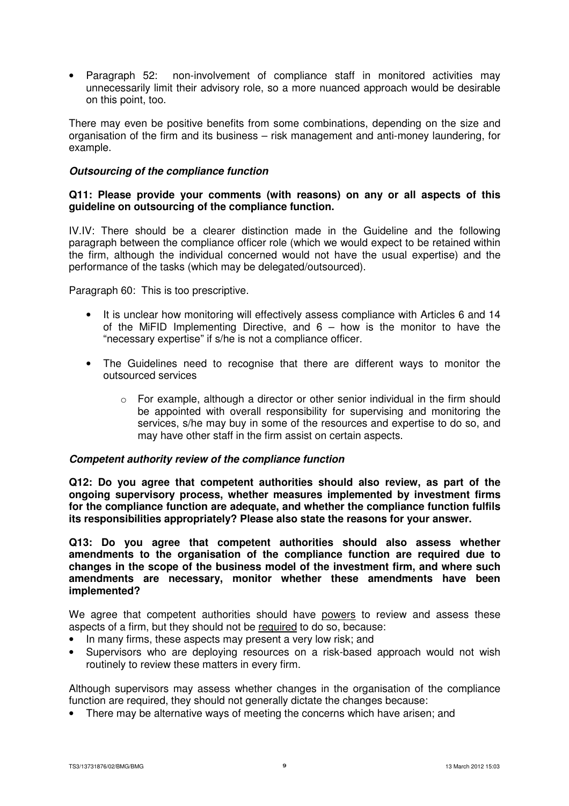• Paragraph 52: non-involvement of compliance staff in monitored activities may unnecessarily limit their advisory role, so a more nuanced approach would be desirable on this point, too.

There may even be positive benefits from some combinations, depending on the size and organisation of the firm and its business – risk management and anti-money laundering, for example.

# **Outsourcing of the compliance function**

#### **Q11: Please provide your comments (with reasons) on any or all aspects of this guideline on outsourcing of the compliance function.**

IV.IV: There should be a clearer distinction made in the Guideline and the following paragraph between the compliance officer role (which we would expect to be retained within the firm, although the individual concerned would not have the usual expertise) and the performance of the tasks (which may be delegated/outsourced).

Paragraph 60: This is too prescriptive.

- It is unclear how monitoring will effectively assess compliance with Articles 6 and 14 of the MiFID Implementing Directive, and  $6 -$  how is the monitor to have the "necessary expertise" if s/he is not a compliance officer.
- The Guidelines need to recognise that there are different ways to monitor the outsourced services
	- $\circ$  For example, although a director or other senior individual in the firm should be appointed with overall responsibility for supervising and monitoring the services, s/he may buy in some of the resources and expertise to do so, and may have other staff in the firm assist on certain aspects.

#### **Competent authority review of the compliance function**

**Q12: Do you agree that competent authorities should also review, as part of the ongoing supervisory process, whether measures implemented by investment firms for the compliance function are adequate, and whether the compliance function fulfils its responsibilities appropriately? Please also state the reasons for your answer.** 

**Q13: Do you agree that competent authorities should also assess whether amendments to the organisation of the compliance function are required due to changes in the scope of the business model of the investment firm, and where such amendments are necessary, monitor whether these amendments have been implemented?** 

We agree that competent authorities should have powers to review and assess these aspects of a firm, but they should not be required to do so, because:

- In many firms, these aspects may present a very low risk; and
- Supervisors who are deploying resources on a risk-based approach would not wish routinely to review these matters in every firm.

Although supervisors may assess whether changes in the organisation of the compliance function are required, they should not generally dictate the changes because:

• There may be alternative ways of meeting the concerns which have arisen; and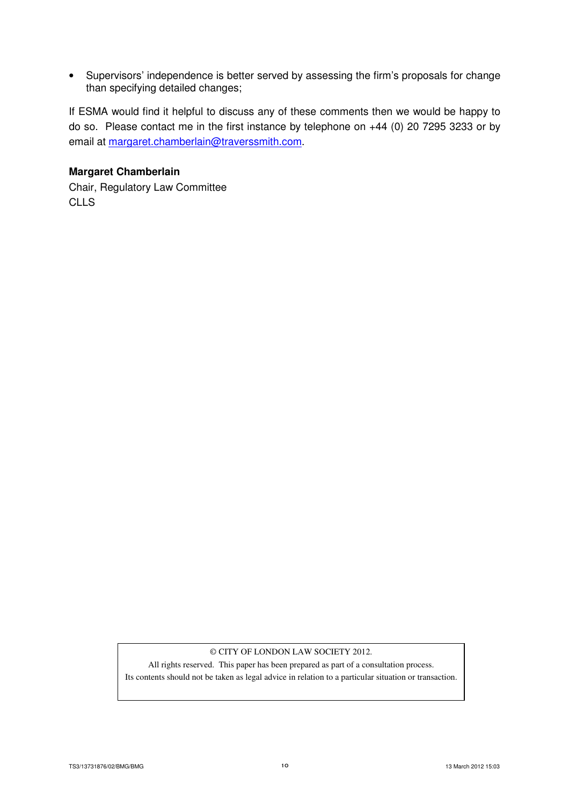• Supervisors' independence is better served by assessing the firm's proposals for change than specifying detailed changes;

If ESMA would find it helpful to discuss any of these comments then we would be happy to do so. Please contact me in the first instance by telephone on +44 (0) 20 7295 3233 or by email at margaret.chamberlain@traverssmith.com.

# **Margaret Chamberlain**

Chair, Regulatory Law Committee CLLS

#### © CITY OF LONDON LAW SOCIETY 2012.

All rights reserved. This paper has been prepared as part of a consultation process. Its contents should not be taken as legal advice in relation to a particular situation or transaction.